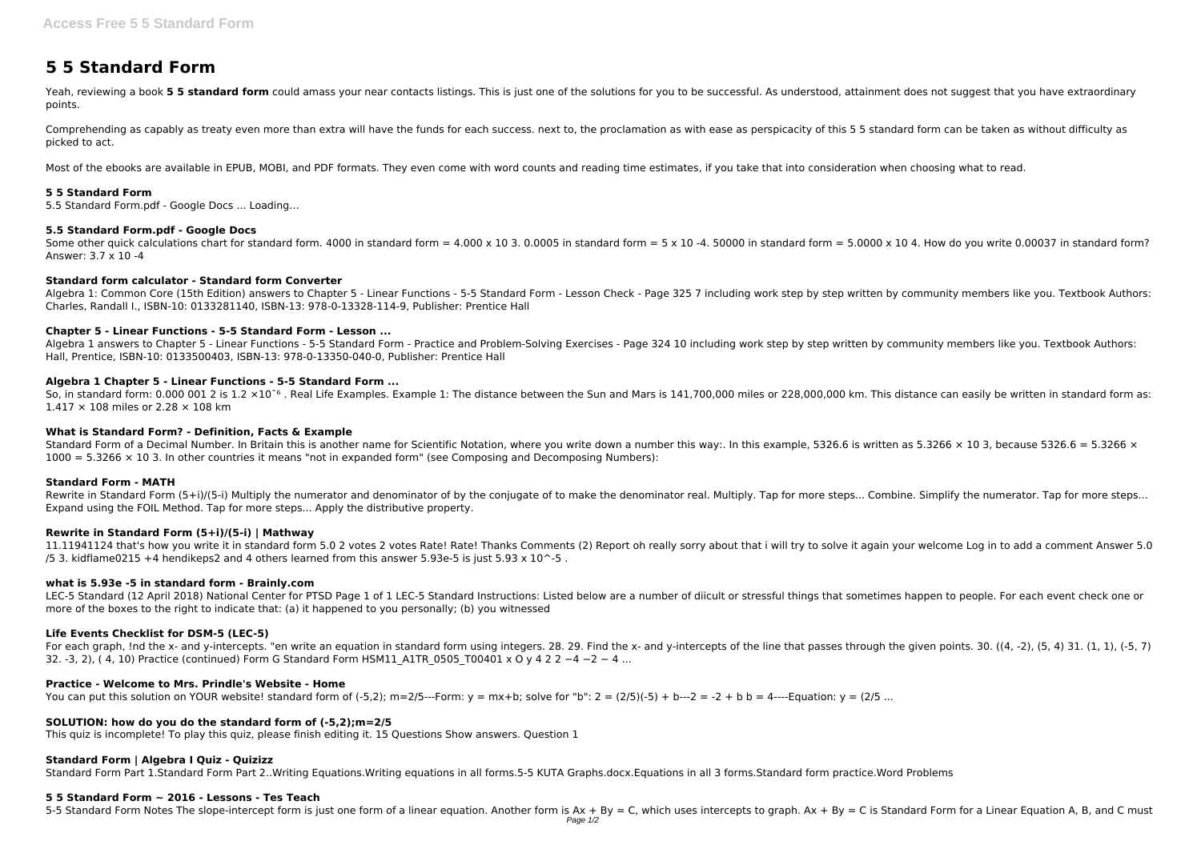# **5 5 Standard Form**

Yeah, reviewing a book 5 5 standard form could amass your near contacts listings. This is just one of the solutions for you to be successful. As understood, attainment does not suggest that you have extraordinary points.

Comprehending as capably as treaty even more than extra will have the funds for each success. next to, the proclamation as with ease as perspicacity of this 5 5 standard form can be taken as without difficulty as picked to act.

Most of the ebooks are available in EPUB, MOBI, and PDF formats. They even come with word counts and reading time estimates, if you take that into consideration when choosing what to read.

Some other quick calculations chart for standard form. 4000 in standard form = 4.000 x 10 3. 0.0005 in standard form = 5 x 10 -4. 50000 in standard form = 5.0000 x 10 4. How do you write 0.00037 in standard form? Answer: 3.7 x 10 -4

Algebra 1: Common Core (15th Edition) answers to Chapter 5 - Linear Functions - 5-5 Standard Form - Lesson Check - Page 325 7 including work step by step written by community members like you. Textbook Authors: Charles, Randall I., ISBN-10: 0133281140, ISBN-13: 978-0-13328-114-9, Publisher: Prentice Hall

#### **5 5 Standard Form**

5.5 Standard Form.pdf - Google Docs ... Loading…

#### **5.5 Standard Form.pdf - Google Docs**

So, in standard form: 0.000 001 2 is 1.2 ×10<sup>o</sup> . Real Life Examples. Example 1: The distance between the Sun and Mars is 141,700,000 miles or 228,000,000 km. This distance can easily be written in standard form as: 1.417 × 108 miles or 2.28 × 108 km

#### **Standard form calculator - Standard form Converter**

Rewrite in Standard Form (5+i)/(5-i) Multiply the numerator and denominator of by the conjugate of to make the denominator real. Multiply. Tap for more steps... Combine. Simplify the numerator. Tap for more steps... Expand using the FOIL Method. Tap for more steps... Apply the distributive property.

11.11941124 that's how you write it in standard form 5.0 2 votes 2 votes Rate! Rate! Thanks Comments (2) Report oh really sorry about that i will try to solve it again your welcome Log in to add a comment Answer 5.0 /5 3. kidflame0215 +4 hendikeps2 and 4 others learned from this answer 5.93e-5 is just 5.93  $\times$  10<sup> $\sim$ </sup>-5 .

#### **Chapter 5 - Linear Functions - 5-5 Standard Form - Lesson ...**

Algebra 1 answers to Chapter 5 - Linear Functions - 5-5 Standard Form - Practice and Problem-Solving Exercises - Page 324 10 including work step by step written by community members like you. Textbook Authors: Hall, Prentice, ISBN-10: 0133500403, ISBN-13: 978-0-13350-040-0, Publisher: Prentice Hall

LEC-5 Standard (12 April 2018) National Center for PTSD Page 1 of 1 LEC-5 Standard Instructions: Listed below are a number of diicult or stressful things that sometimes happen to people. For each event check one or more of the boxes to the right to indicate that: (a) it happened to you personally; (b) you witnessed

#### **Algebra 1 Chapter 5 - Linear Functions - 5-5 Standard Form ...**

#### **What is Standard Form? - Definition, Facts & Example**

Standard Form of a Decimal Number. In Britain this is another name for Scientific Notation, where you write down a number this way:. In this example, 5326.6 is written as 5.3266  $\times$  10 3, because 5326.6 = 5.3266  $\times$  $1000 = 5.3266 \times 10.3$ . In other countries it means "not in expanded form" (see Composing and Decomposing Numbers):

#### **Standard Form - MATH**

#### **Rewrite in Standard Form (5+i)/(5-i) | Mathway**

#### **what is 5.93e -5 in standard form - Brainly.com**

#### **Life Events Checklist for DSM-5 (LEC-5)**

For each graph, !nd the x- and y-intercepts. "en write an equation in standard form using integers. 28. 29. Find the x- and y-intercepts of the line that passes through the given points. 30. ((4, -2), (5, 4) 31. (1, 1), (-32. -3, 2), ( 4, 10) Practice (continued) Form G Standard Form HSM11 A1TR 0505 T00401 x O y 4 2 2 −4 −2 − 4 ...

#### **Practice - Welcome to Mrs. Prindle's Website - Home**

You can put this solution on YOUR website! standard form of  $(-5,2)$ ; m=2/5---Form: y = mx+b; solve for "b":  $2 = (2/5)(-5) + b$ ---2 = -2 + b b = 4----Equation: y = (2/5 ...

#### **SOLUTION: how do you do the standard form of (-5,2);m=2/5**

This quiz is incomplete! To play this quiz, please finish editing it. 15 Questions Show answers. Question 1

#### **Standard Form | Algebra I Quiz - Quizizz**

Standard Form Part 1.Standard Form Part 2..Writing Equations.Writing equations in all forms.5-5 KUTA Graphs.docx.Equations in all 3 forms.Standard form practice.Word Problems

#### **5 5 Standard Form ~ 2016 - Lessons - Tes Teach**

5-5 Standard Form Notes The slope-intercept form is just one form of a linear equation. Another form is Ax + By = C, which uses intercepts to graph. Ax + By = C is Standard Form for a Linear Equation A, B, and C must